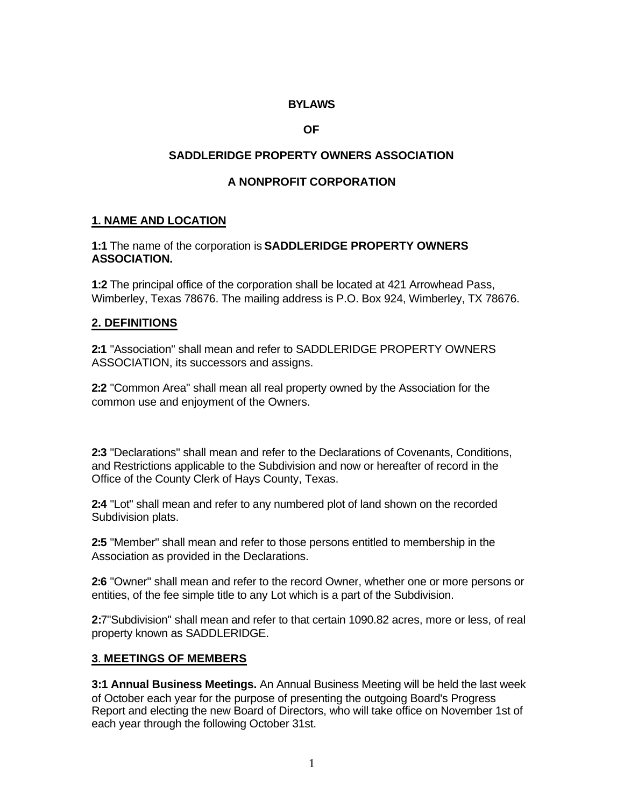### **BYLAWS**

#### **OF**

### **SADDLERIDGE PROPERTY OWNERS ASSOCIATION**

### **A NONPROFIT CORPORATION**

### **1. NAME AND LOCATION**

#### **1:1** The name of the corporation is **SADDLERIDGE PROPERTY OWNERS ASSOCIATION.**

**1:2** The principal office of the corporation shall be located at 421 Arrowhead Pass, Wimberley, Texas 78676. The mailing address is P.O. Box 924, Wimberley, TX 78676.

#### **2. DEFINITIONS**

**2:1** "Association" shall mean and refer to SADDLERIDGE PROPERTY OWNERS ASSOCIATION, its successors and assigns.

**2:2** "Common Area" shall mean all real property owned by the Association for the common use and enjoyment of the Owners.

**2:3** "Declarations" shall mean and refer to the Declarations of Covenants, Conditions, and Restrictions applicable to the Subdivision and now or hereafter of record in the Office of the County Clerk of Hays County, Texas.

**2:4** "Lot" shall mean and refer to any numbered plot of land shown on the recorded Subdivision plats.

**2:5** "Member" shall mean and refer to those persons entitled to membership in the Association as provided in the Declarations.

**2:6** "Owner" shall mean and refer to the record Owner, whether one or more persons or entities, of the fee simple title to any Lot which is a part of the Subdivision.

**2:**7"Subdivision" shall mean and refer to that certain 1090.82 acres, more or less, of real property known as SADDLERIDGE.

### **3**. **MEETINGS OF MEMBERS**

**3:1 Annual Business Meetings.** An Annual Business Meeting will be held the last week of October each year for the purpose of presenting the outgoing Board's Progress Report and electing the new Board of Directors, who will take office on November 1st of each year through the following October 31st.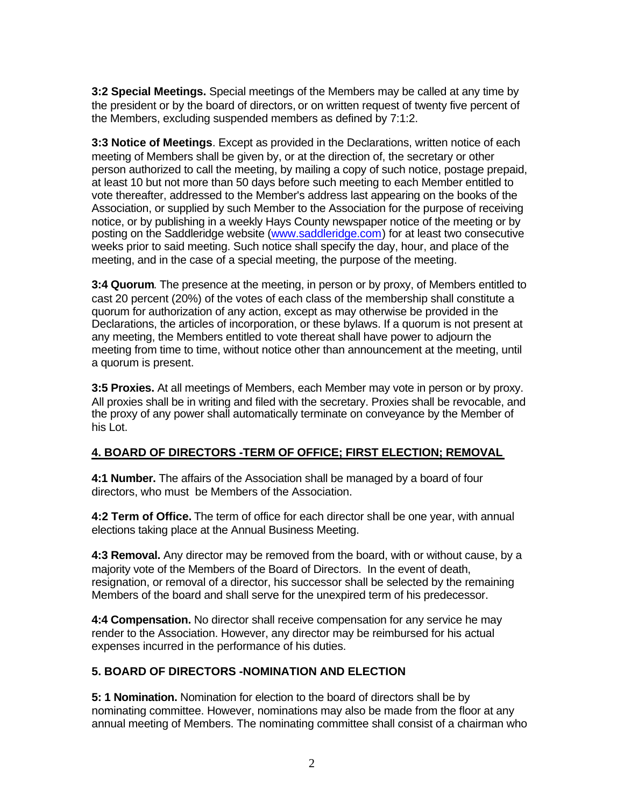**3:2 Special Meetings.** Special meetings of the Members may be called at any time by the president or by the board of directors, or on written request of twenty five percent of the Members, excluding suspended members as defined by 7:1:2.

**3:3 Notice of Meetings**. Except as provided in the Declarations, written notice of each meeting of Members shall be given by, or at the direction of, the secretary or other person authorized to call the meeting, by mailing a copy of such notice, postage prepaid, at least 10 but not more than 50 days before such meeting to each Member entitled to vote thereafter, addressed to the Member's address last appearing on the books of the Association, or supplied by such Member to the Association for the purpose of receiving notice, or by publishing in a weekly Hays County newspaper notice of the meeting or by posting on the Saddleridge website (www.saddleridge.com) for at least two consecutive weeks prior to said meeting. Such notice shall specify the day, hour, and place of the meeting, and in the case of a special meeting, the purpose of the meeting.

**3:4 Quorum**. The presence at the meeting, in person or by proxy, of Members entitled to cast 20 percent (20%) of the votes of each class of the membership shall constitute a quorum for authorization of any action, except as may otherwise be provided in the Declarations, the articles of incorporation, or these bylaws. If a quorum is not present at any meeting, the Members entitled to vote thereat shall have power to adjourn the meeting from time to time, without notice other than announcement at the meeting, until a quorum is present.

**3:5 Proxies.** At all meetings of Members, each Member may vote in person or by proxy. All proxies shall be in writing and filed with the secretary. Proxies shall be revocable, and the proxy of any power shall automatically terminate on conveyance by the Member of his Lot.

### **4. BOARD OF DIRECTORS -TERM OF OFFICE; FIRST ELECTION; REMOVAL**

**4:1 Number.** The affairs of the Association shall be managed by a board of four directors, who must be Members of the Association.

**4:2 Term of Office.** The term of office for each director shall be one year, with annual elections taking place at the Annual Business Meeting.

**4:3 Removal.** Any director may be removed from the board, with or without cause, by a majority vote of the Members of the Board of Directors. In the event of death, resignation, or removal of a director, his successor shall be selected by the remaining Members of the board and shall serve for the unexpired term of his predecessor.

**4:4 Compensation.** No director shall receive compensation for any service he may render to the Association. However, any director may be reimbursed for his actual expenses incurred in the performance of his duties.

## **5. BOARD OF DIRECTORS -NOMINATION AND ELECTION**

**5: 1 Nomination.** Nomination for election to the board of directors shall be by nominating committee. However, nominations may also be made from the floor at any annual meeting of Members. The nominating committee shall consist of a chairman who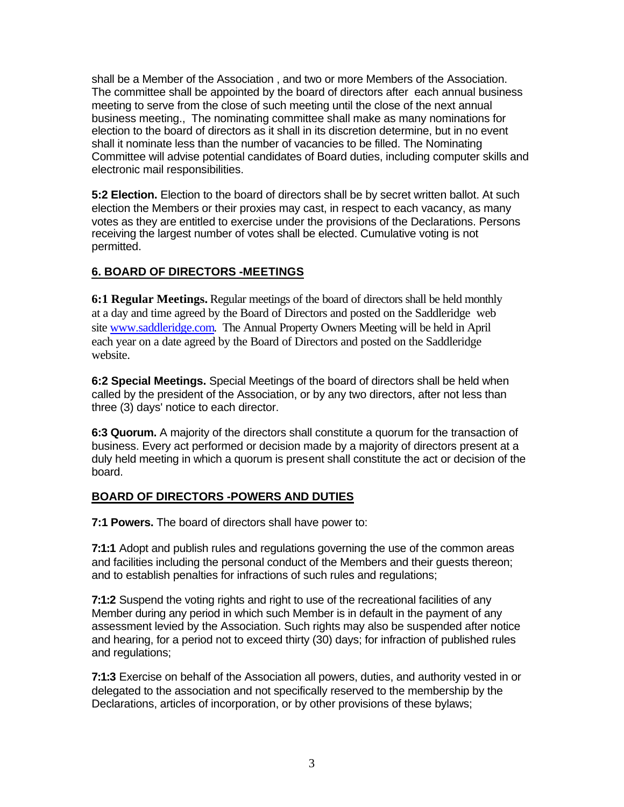shall be a Member of the Association , and two or more Members of the Association. The committee shall be appointed by the board of directors after each annual business meeting to serve from the close of such meeting until the close of the next annual business meeting., The nominating committee shall make as many nominations for election to the board of directors as it shall in its discretion determine, but in no event shall it nominate less than the number of vacancies to be filled. The Nominating Committee will advise potential candidates of Board duties, including computer skills and electronic mail responsibilities.

**5:2 Election.** Election to the board of directors shall be by secret written ballot. At such election the Members or their proxies may cast, in respect to each vacancy, as many votes as they are entitled to exercise under the provisions of the Declarations. Persons receiving the largest number of votes shall be elected. Cumulative voting is not permitted.

# **6. BOARD OF DIRECTORS -MEETINGS**

**6:1 Regular Meetings.** Regular meetings of the board of directors shall be held monthly at a day and time agreed by the Board of Directors and posted on the Saddleridge web site www.saddleridge.com. The Annual Property Owners Meeting will be held in April each year on a date agreed by the Board of Directors and posted on the Saddleridge website.

**6:2 Special Meetings.** Special Meetings of the board of directors shall be held when called by the president of the Association, or by any two directors, after not less than three (3) days' notice to each director.

**6:3 Quorum.** A majority of the directors shall constitute a quorum for the transaction of business. Every act performed or decision made by a majority of directors present at a duly held meeting in which a quorum is present shall constitute the act or decision of the board.

## **BOARD OF DIRECTORS -POWERS AND DUTIES**

**7:1 Powers.** The board of directors shall have power to:

**7:1:1** Adopt and publish rules and regulations governing the use of the common areas and facilities including the personal conduct of the Members and their guests thereon; and to establish penalties for infractions of such rules and regulations;

**7:1:2** Suspend the voting rights and right to use of the recreational facilities of any Member during any period in which such Member is in default in the payment of any assessment levied by the Association. Such rights may also be suspended after notice and hearing, for a period not to exceed thirty (30) days; for infraction of published rules and regulations;

**7:1:3** Exercise on behalf of the Association all powers, duties, and authority vested in or delegated to the association and not specifically reserved to the membership by the Declarations, articles of incorporation, or by other provisions of these bylaws;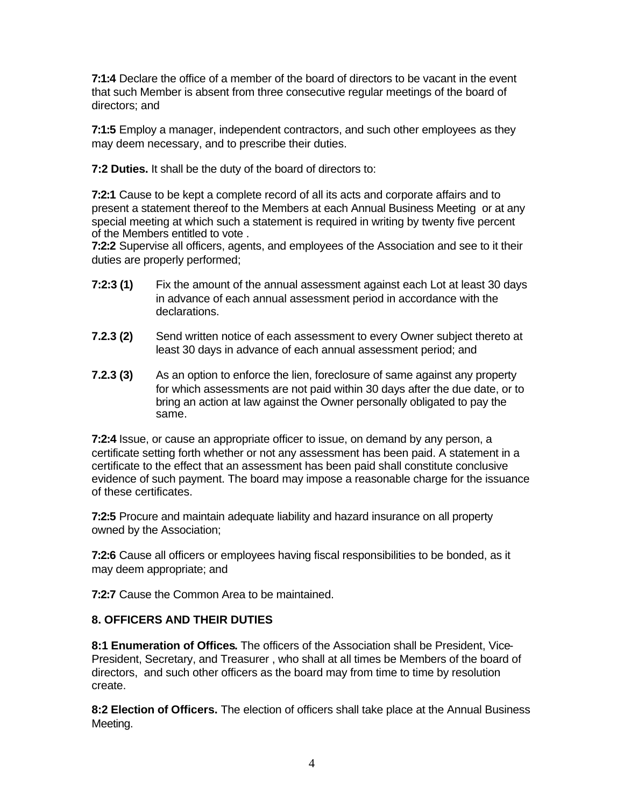**7:1:4** Declare the office of a member of the board of directors to be vacant in the event that such Member is absent from three consecutive regular meetings of the board of directors; and

**7:1:5** Employ a manager, independent contractors, and such other employees as they may deem necessary, and to prescribe their duties.

**7:2 Duties.** It shall be the duty of the board of directors to:

**7:2:1** Cause to be kept a complete record of all its acts and corporate affairs and to present a statement thereof to the Members at each Annual Business Meeting or at any special meeting at which such a statement is required in writing by twenty five percent of the Members entitled to vote .

**7:2:2** Supervise all officers, agents, and employees of the Association and see to it their duties are properly performed;

- **7:2:3 (1)** Fix the amount of the annual assessment against each Lot at least 30 days in advance of each annual assessment period in accordance with the declarations.
- **7.2.3 (2)** Send written notice of each assessment to every Owner subject thereto at least 30 days in advance of each annual assessment period; and
- **7.2.3 (3)** As an option to enforce the lien, foreclosure of same against any property for which assessments are not paid within 30 days after the due date, or to bring an action at law against the Owner personally obligated to pay the same.

**7:2:4** Issue, or cause an appropriate officer to issue, on demand by any person, a certificate setting forth whether or not any assessment has been paid. A statement in a certificate to the effect that an assessment has been paid shall constitute conclusive evidence of such payment. The board may impose a reasonable charge for the issuance of these certificates.

**7:2:5** Procure and maintain adequate liability and hazard insurance on all property owned by the Association;

**7:2:6** Cause all officers or employees having fiscal responsibilities to be bonded, as it may deem appropriate; and

**7:2:7** Cause the Common Area to be maintained.

### **8. OFFICERS AND THEIR DUTIES**

**8:1 Enumeration of Offices.** The officers of the Association shall be President, Vice-President, Secretary, and Treasurer , who shall at all times be Members of the board of directors, and such other officers as the board may from time to time by resolution create.

**8:2 Election of Officers.** The election of officers shall take place at the Annual Business Meeting.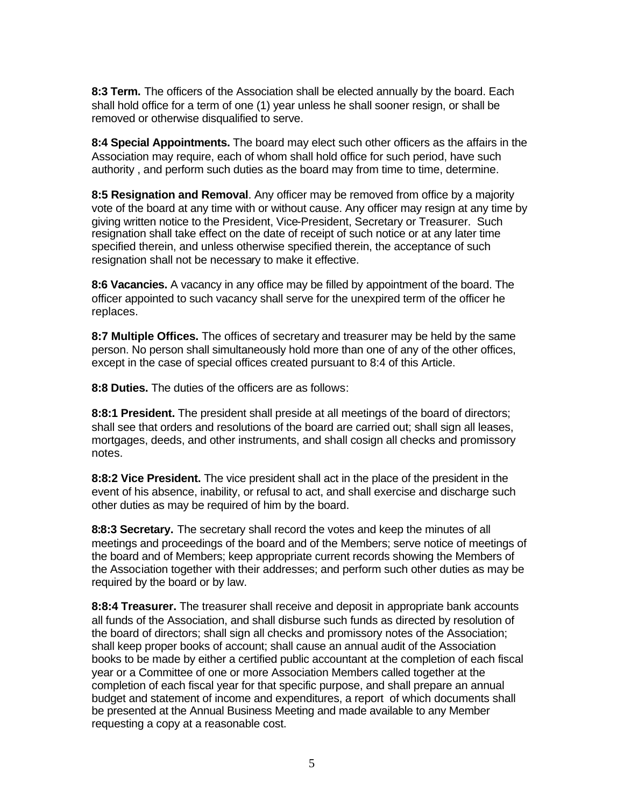**8:3 Term.** The officers of the Association shall be elected annually by the board. Each shall hold office for a term of one (1) year unless he shall sooner resign, or shall be removed or otherwise disqualified to serve.

**8:4 Special Appointments.** The board may elect such other officers as the affairs in the Association may require, each of whom shall hold office for such period, have such authority , and perform such duties as the board may from time to time, determine.

**8:5 Resignation and Removal**. Any officer may be removed from office by a majority vote of the board at any time with or without cause. Any officer may resign at any time by giving written notice to the President, Vice-President, Secretary or Treasurer. Such resignation shall take effect on the date of receipt of such notice or at any later time specified therein, and unless otherwise specified therein, the acceptance of such resignation shall not be necessary to make it effective.

**8:6 Vacancies.** A vacancy in any office may be filled by appointment of the board. The officer appointed to such vacancy shall serve for the unexpired term of the officer he replaces.

**8:7 Multiple Offices.** The offices of secretary and treasurer may be held by the same person. No person shall simultaneously hold more than one of any of the other offices, except in the case of special offices created pursuant to 8:4 of this Article.

**8:8 Duties.** The duties of the officers are as follows:

**8:8:1 President.** The president shall preside at all meetings of the board of directors; shall see that orders and resolutions of the board are carried out; shall sign all leases, mortgages, deeds, and other instruments, and shall cosign all checks and promissory notes.

**8:8:2 Vice President.** The vice president shall act in the place of the president in the event of his absence, inability, or refusal to act, and shall exercise and discharge such other duties as may be required of him by the board.

**8:8:3 Secretary.** The secretary shall record the votes and keep the minutes of all meetings and proceedings of the board and of the Members; serve notice of meetings of the board and of Members; keep appropriate current records showing the Members of the Association together with their addresses; and perform such other duties as may be required by the board or by law.

**8:8:4 Treasurer.** The treasurer shall receive and deposit in appropriate bank accounts all funds of the Association, and shall disburse such funds as directed by resolution of the board of directors; shall sign all checks and promissory notes of the Association; shall keep proper books of account; shall cause an annual audit of the Association books to be made by either a certified public accountant at the completion of each fiscal year or a Committee of one or more Association Members called together at the completion of each fiscal year for that specific purpose, and shall prepare an annual budget and statement of income and expenditures, a report of which documents shall be presented at the Annual Business Meeting and made available to any Member requesting a copy at a reasonable cost.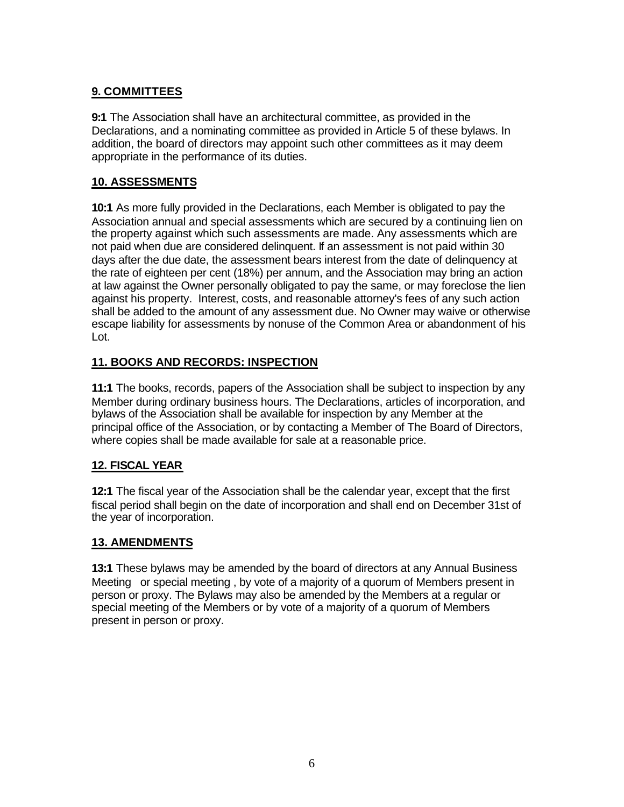# **9. COMMITTEES**

**9:1** The Association shall have an architectural committee, as provided in the Declarations, and a nominating committee as provided in Article 5 of these bylaws. In addition, the board of directors may appoint such other committees as it may deem appropriate in the performance of its duties.

## **10. ASSESSMENTS**

**10:1** As more fully provided in the Declarations, each Member is obligated to pay the Association annual and special assessments which are secured by a continuing lien on the property against which such assessments are made. Any assessments which are not paid when due are considered delinquent. If an assessment is not paid within 30 days after the due date, the assessment bears interest from the date of delinquency at the rate of eighteen per cent (18%) per annum, and the Association may bring an action at law against the Owner personally obligated to pay the same, or may foreclose the lien against his property. Interest, costs, and reasonable attorney's fees of any such action shall be added to the amount of any assessment due. No Owner may waive or otherwise escape liability for assessments by nonuse of the Common Area or abandonment of his Lot.

# **11. BOOKS AND RECORDS: INSPECTION**

**11:1** The books, records, papers of the Association shall be subject to inspection by any Member during ordinary business hours. The Declarations, articles of incorporation, and bylaws of the Association shall be available for inspection by any Member at the principal office of the Association, or by contacting a Member of The Board of Directors, where copies shall be made available for sale at a reasonable price.

## **12. FISCAL YEAR**

**12:1** The fiscal year of the Association shall be the calendar year, except that the first fiscal period shall begin on the date of incorporation and shall end on December 31st of the year of incorporation.

## **13. AMENDMENTS**

**13:1** These bylaws may be amended by the board of directors at any Annual Business Meeting or special meeting , by vote of a majority of a quorum of Members present in person or proxy. The Bylaws may also be amended by the Members at a regular or special meeting of the Members or by vote of a majority of a quorum of Members present in person or proxy.